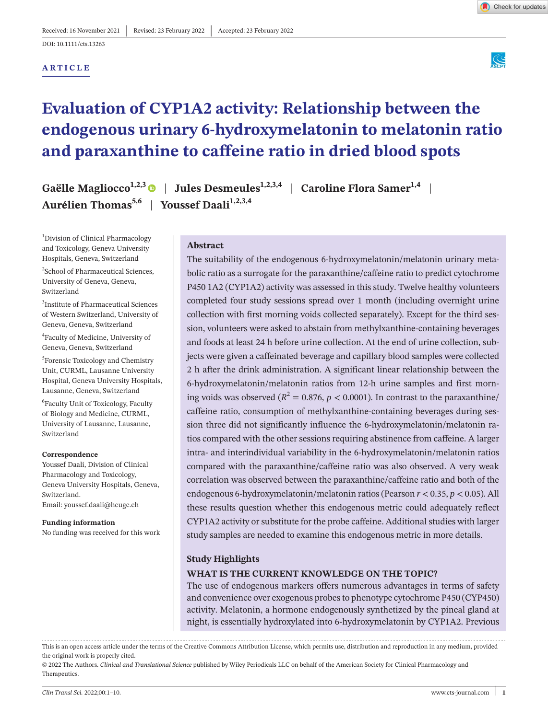### **ARTICLE**



# **Evaluation of CYP1A2 activity: Relationship between the endogenous urinary 6-hydroxymelatonin to melatonin ratio and paraxanthine to caffeine ratio in dried blood spots**

**Gaëlle Magliocco<sup>1,2,3</sup> | Jules Desmeules<sup>1,2,3,4</sup> | Caroline Flora Samer<sup>1,4</sup>** Aurélien Thomas<sup>5,6</sup> | Youssef Daali<sup>1,2,3,4</sup>

1 Division of Clinical Pharmacology and Toxicology, Geneva University Hospitals, Geneva, Switzerland

2 School of Pharmaceutical Sciences, University of Geneva, Geneva, Switzerland

3 Institute of Pharmaceutical Sciences of Western Switzerland, University of Geneva, Geneva, Switzerland

4 Faculty of Medicine, University of Geneva, Geneva, Switzerland

5 Forensic Toxicology and Chemistry Unit, CURML, Lausanne University Hospital, Geneva University Hospitals, Lausanne, Geneva, Switzerland

6 Faculty Unit of Toxicology, Faculty of Biology and Medicine, CURML, University of Lausanne, Lausanne, Switzerland

#### **Correspondence**

Youssef Daali, Division of Clinical Pharmacology and Toxicology, Geneva University Hospitals, Geneva, Switzerland. Email: [youssef.daali@hcuge.ch](mailto:youssef.daali@hcuge.ch)

**Funding information**

No funding was received for this work

### **Abstract**

The suitability of the endogenous 6-hydroxymelatonin/melatonin urinary metabolic ratio as a surrogate for the paraxanthine/caffeine ratio to predict cytochrome P450 1A2 (CYP1A2) activity was assessed in this study. Twelve healthy volunteers completed four study sessions spread over 1 month (including overnight urine collection with first morning voids collected separately). Except for the third session, volunteers were asked to abstain from methylxanthine-containing beverages and foods at least 24 h before urine collection. At the end of urine collection, subjects were given a caffeinated beverage and capillary blood samples were collected 2 h after the drink administration. A significant linear relationship between the 6-hydroxymelatonin/melatonin ratios from 12-h urine samples and first morning voids was observed ( $R^2 = 0.876$ ,  $p < 0.0001$ ). In contrast to the paraxanthine/ caffeine ratio, consumption of methylxanthine-containing beverages during session three did not significantly influence the 6-hydroxymelatonin/melatonin ratios compared with the other sessions requiring abstinence from caffeine. A larger intra- and interindividual variability in the 6-hydroxymelatonin/melatonin ratios compared with the paraxanthine/caffeine ratio was also observed. A very weak correlation was observed between the paraxanthine/caffeine ratio and both of the endogenous 6-hydroxymelatonin/melatonin ratios (Pearson *r* < 0.35, *p* < 0.05). All these results question whether this endogenous metric could adequately reflect CYP1A2 activity or substitute for the probe caffeine. Additional studies with larger study samples are needed to examine this endogenous metric in more details.

### **Study Highlights**

#### **WHAT IS THE CURRENT KNOWLEDGE ON THE TOPIC?**

The use of endogenous markers offers numerous advantages in terms of safety and convenience over exogenous probes to phenotype cytochrome P450 (CYP450) activity. Melatonin, a hormone endogenously synthetized by the pineal gland at night, is essentially hydroxylated into 6-hydroxymelatonin by CYP1A2. Previous

This is an open access article under the terms of the [Creative Commons Attribution](http://creativecommons.org/licenses/by/4.0/) License, which permits use, distribution and reproduction in any medium, provided the original work is properly cited.

© 2022 The Authors. *Clinical and Translational Science* published by Wiley Periodicals LLC on behalf of the American Society for Clinical Pharmacology and Therapeutics.



Check for updates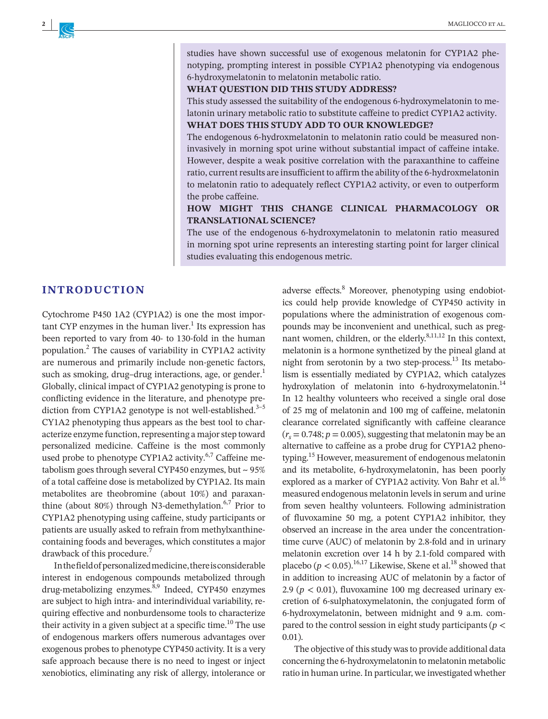studies have shown successful use of exogenous melatonin for CYP1A2 phenotyping, prompting interest in possible CYP1A2 phenotyping via endogenous 6-hydroxymelatonin to melatonin metabolic ratio.

#### **WHAT QUESTION DID THIS STUDY ADDRESS?**

This study assessed the suitability of the endogenous 6-hydroxymelatonin to melatonin urinary metabolic ratio to substitute caffeine to predict CYP1A2 activity.

### **WHAT DOES THIS STUDY ADD TO OUR KNOWLEDGE?**

The endogenous 6-hydroxmelatonin to melatonin ratio could be measured noninvasively in morning spot urine without substantial impact of caffeine intake. However, despite a weak positive correlation with the paraxanthine to caffeine ratio, current results are insufficient to affirm the ability of the 6-hydroxmelatonin to melatonin ratio to adequately reflect CYP1A2 activity, or even to outperform the probe caffeine.

### **HOW MIGHT THIS CHANGE CLINICAL PHARMACOLOGY OR TRANSLATIONAL SCIENCE?**

The use of the endogenous 6-hydroxymelatonin to melatonin ratio measured in morning spot urine represents an interesting starting point for larger clinical studies evaluating this endogenous metric.

### **INTRODUCTION**

Cytochrome P450 1A2 (CYP1A2) is one the most important CYP enzymes in the human liver.<sup>1</sup> Its expression has been reported to vary from 40- to 130-fold in the human population.2 The causes of variability in CYP1A2 activity are numerous and primarily include non-genetic factors, such as smoking, drug–drug interactions, age, or gender. $<sup>1</sup>$ </sup> Globally, clinical impact of CYP1A2 genotyping is prone to conflicting evidence in the literature, and phenotype prediction from CYP1A2 genotype is not well-established. $3-5$ CY1A2 phenotyping thus appears as the best tool to characterize enzyme function, representing a major step toward personalized medicine. Caffeine is the most commonly used probe to phenotype CYP1A2 activity.<sup>6,7</sup> Caffeine metabolism goes through several CYP450 enzymes, but  $\sim$  95% of a total caffeine dose is metabolized by CYP1A2. Its main metabolites are theobromine (about 10%) and paraxanthine (about 80%) through N3-demethylation. $6,7$  Prior to CYP1A2 phenotyping using caffeine, study participants or patients are usually asked to refrain from methylxanthinecontaining foods and beverages, which constitutes a major drawback of this procedure.<sup>7</sup>

In the field of personalized medicine, there is considerable interest in endogenous compounds metabolized through drug-metabolizing enzymes.<sup>8,9</sup> Indeed, CYP450 enzymes are subject to high intra- and interindividual variability, requiring effective and nonburdensome tools to characterize their activity in a given subject at a specific time.<sup>10</sup> The use of endogenous markers offers numerous advantages over exogenous probes to phenotype CYP450 activity. It is a very safe approach because there is no need to ingest or inject xenobiotics, eliminating any risk of allergy, intolerance or

adverse effects.<sup>8</sup> Moreover, phenotyping using endobiotics could help provide knowledge of CYP450 activity in populations where the administration of exogenous compounds may be inconvenient and unethical, such as pregnant women, children, or the elderly. $8,11,12$  In this context, melatonin is a hormone synthetized by the pineal gland at night from serotonin by a two step-process.<sup>13</sup> Its metabolism is essentially mediated by CYP1A2, which catalyzes hydroxylation of melatonin into 6-hydroxymelatonin.<sup>14</sup> In 12 healthy volunteers who received a single oral dose of 25 mg of melatonin and 100 mg of caffeine, melatonin clearance correlated significantly with caffeine clearance  $(r<sub>s</sub> = 0.748; p = 0.005)$ , suggesting that melatonin may be an alternative to caffeine as a probe drug for CYP1A2 phenotyping.15 However, measurement of endogenous melatonin and its metabolite, 6-hydroxymelatonin, has been poorly explored as a marker of CYP1A2 activity. Von Bahr et al.<sup>16</sup> measured endogenous melatonin levels in serum and urine from seven healthy volunteers. Following administration of fluvoxamine 50 mg, a potent CYP1A2 inhibitor, they observed an increase in the area under the concentrationtime curve (AUC) of melatonin by 2.8-fold and in urinary melatonin excretion over 14 h by 2.1-fold compared with placebo ( $p < 0.05$ ).<sup>16,17</sup> Likewise, Skene et al.<sup>18</sup> showed that in addition to increasing AUC of melatonin by a factor of 2.9 ( $p < 0.01$ ), fluvoxamine 100 mg decreased urinary excretion of 6-sulphatoxymelatonin, the conjugated form of 6-hydroxymelatonin, between midnight and 9 a.m. compared to the control session in eight study participants (*p* < 0.01).

The objective of this study was to provide additional data concerning the 6-hydroxymelatonin to melatonin metabolic ratio in human urine. In particular, we investigated whether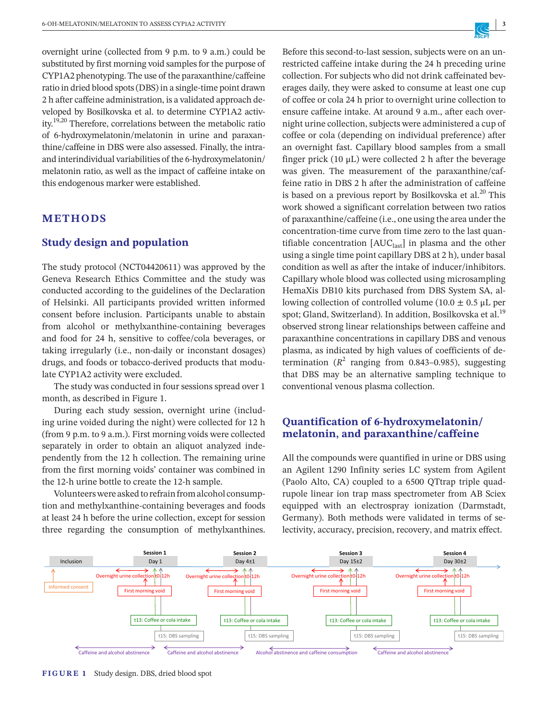overnight urine (collected from 9 p.m. to 9 a.m.) could be substituted by first morning void samples for the purpose of CYP1A2 phenotyping. The use of the paraxanthine/caffeine ratio in dried blood spots (DBS) in a single-time point drawn 2 h after caffeine administration, is a validated approach developed by Bosilkovska et al. to determine CYP1A2 activity.19,20 Therefore, correlations between the metabolic ratio of 6-hydroxymelatonin/melatonin in urine and paraxanthine/caffeine in DBS were also assessed. Finally, the intraand interindividual variabilities of the 6-hydroxymelatonin/ melatonin ratio, as well as the impact of caffeine intake on this endogenous marker were established.

### **METHODS**

### **Study design and population**

The study protocol (NCT04420611) was approved by the Geneva Research Ethics Committee and the study was conducted according to the guidelines of the Declaration of Helsinki. All participants provided written informed consent before inclusion. Participants unable to abstain from alcohol or methylxanthine-containing beverages and food for 24 h, sensitive to coffee/cola beverages, or taking irregularly (i.e., non-daily or inconstant dosages) drugs, and foods or tobacco-derived products that modulate CYP1A2 activity were excluded.

The study was conducted in four sessions spread over 1 month, as described in Figure 1.

During each study session, overnight urine (including urine voided during the night) were collected for 12 h (from 9 p.m. to 9 a.m.). First morning voids were collected separately in order to obtain an aliquot analyzed independently from the 12 h collection. The remaining urine from the first morning voids' container was combined in the 12-h urine bottle to create the 12-h sample.

Volunteers were asked to refrain from alcohol consumption and methylxanthine-containing beverages and foods at least 24 h before the urine collection, except for session three regarding the consumption of methylxanthines. Before this second-to-last session, subjects were on an unrestricted caffeine intake during the 24 h preceding urine collection. For subjects who did not drink caffeinated beverages daily, they were asked to consume at least one cup of coffee or cola 24 h prior to overnight urine collection to ensure caffeine intake. At around 9 a.m., after each overnight urine collection, subjects were administered a cup of coffee or cola (depending on individual preference) after an overnight fast. Capillary blood samples from a small finger prick  $(10 \mu L)$  were collected 2 h after the beverage was given. The measurement of the paraxanthine/caffeine ratio in DBS 2 h after the administration of caffeine is based on a previous report by Bosilkovska et al. $^{20}$  This work showed a significant correlation between two ratios of paraxanthine/caffeine (i.e., one using the area under the concentration-time curve from time zero to the last quantifiable concentration  $[AUC<sub>last</sub>]$  in plasma and the other using a single time point capillary DBS at 2 h), under basal condition as well as after the intake of inducer/inhibitors. Capillary whole blood was collected using microsampling HemaXis DB10 kits purchased from DBS System SA, allowing collection of controlled volume (10.0  $\pm$  0.5 μL per spot; Gland, Switzerland). In addition, Bosilkovska et al.<sup>19</sup> observed strong linear relationships between caffeine and paraxanthine concentrations in capillary DBS and venous plasma, as indicated by high values of coefficients of determination  $(R^2$  ranging from 0.843-0.985), suggesting that DBS may be an alternative sampling technique to conventional venous plasma collection.

# **Quantification of 6-hydroxymelatonin/ melatonin, and paraxanthine/caffeine**

All the compounds were quantified in urine or DBS using an Agilent 1290 Infinity series LC system from Agilent (Paolo Alto, CA) coupled to a 6500 QTtrap triple quadrupole linear ion trap mass spectrometer from AB Sciex equipped with an electrospray ionization (Darmstadt, Germany). Both methods were validated in terms of selectivity, accuracy, precision, recovery, and matrix effect.



**FIGURE 1** Study design. DBS, dried blood spot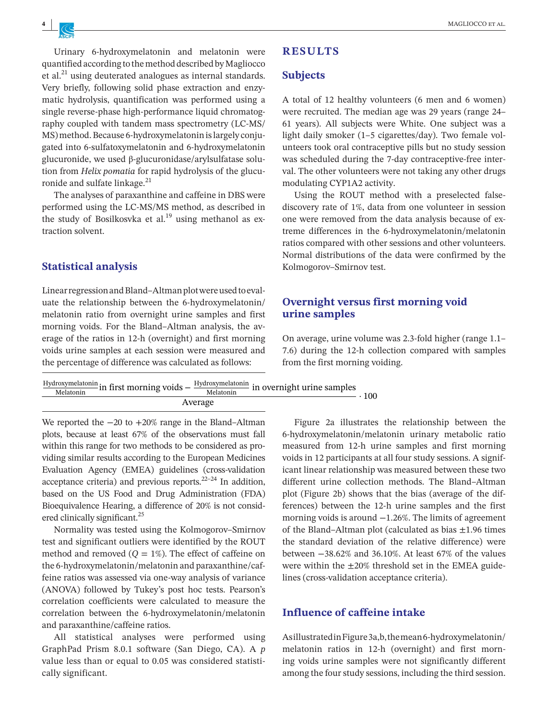Urinary 6-hydroxymelatonin and melatonin were quantified according to the method described by Magliocco et al. $^{21}$  using deuterated analogues as internal standards. Very briefly, following solid phase extraction and enzymatic hydrolysis, quantification was performed using a single reverse-phase high-performance liquid chromatography coupled with tandem mass spectrometry (LC-MS/ MS) method. Because 6-hydroxymelatonin is largely conjugated into 6-sulfatoxymelatonin and 6-hydroxymelatonin glucuronide, we used β-glucuronidase/arylsulfatase solution from *Helix pomatia* for rapid [hydrolysis](https://www.sciencedirect.com/topics/biochemistry-genetics-and-molecular-biology/enzymatic-hydrolysis) of the [glucu](https://www.sciencedirect.com/topics/biochemistry-genetics-and-molecular-biology/glucuronide)[ronide](https://www.sciencedirect.com/topics/biochemistry-genetics-and-molecular-biology/glucuronide) and sulfate linkage.<sup>21</sup>

The analyses of paraxanthine and caffeine in DBS were performed using the LC-MS/MS method, as described in the study of Bosilkosvka et al.<sup>19</sup> using methanol as extraction solvent.

### **Statistical analysis**

Linear regression and Bland–Altman plot were used to evaluate the relationship between the 6-hydroxymelatonin/ melatonin ratio from overnight urine samples and first morning voids. For the Bland–Altman analysis, the average of the ratios in 12-h (overnight) and first morning voids urine samples at each session were measured and the percentage of difference was calculated as follows:

# **RESULTS**

### **Subjects**

A total of 12 healthy volunteers (6 men and 6 women) were recruited. The median age was 29 years (range 24– 61 years). All subjects were White. One subject was a light daily smoker (1–5 cigarettes/day). Two female volunteers took oral contraceptive pills but no study session was scheduled during the 7-day contraceptive-free interval. The other volunteers were not taking any other drugs modulating CYP1A2 activity.

Using the ROUT method with a preselected falsediscovery rate of 1%, data from one volunteer in session one were removed from the data analysis because of extreme differences in the 6-hydroxymelatonin/melatonin ratios compared with other sessions and other volunteers. Normal distributions of the data were confirmed by the Kolmogorov–Smirnov test.

## **Overnight versus first morning void urine samples**

On average, urine volume was 2.3-fold higher (range 1.1– 7.6) during the 12-h collection compared with samples from the first morning voiding.

| Melatonin | $\frac{Hydroxymelatonin}{Mydroxynelatonin}$ in first morning voids – $\frac{Hydroxymelatonin}{Myltonin}$ in overnight urine samples<br>Melatonin | 100 |  |  |  |  |  |
|-----------|--------------------------------------------------------------------------------------------------------------------------------------------------|-----|--|--|--|--|--|
| Average   |                                                                                                                                                  |     |  |  |  |  |  |

We reported the −20 to +20% range in the Bland–Altman plots, because at least 67% of the observations must fall within this range for two methods to be considered as providing similar results according to the European Medicines Evaluation Agency (EMEA) guidelines (cross-validation acceptance criteria) and previous reports. $22-24$  In addition, based on the US Food and Drug Administration (FDA) Bioequivalence Hearing, a difference of 20% is not considered clinically significant.<sup>25</sup>

Normality was tested using the Kolmogorov–Smirnov test and significant outliers were identified by the ROUT method and removed  $(Q = 1\%)$ . The effect of caffeine on the 6-hydroxymelatonin/melatonin and paraxanthine/caffeine ratios was assessed via one-way analysis of variance (ANOVA) followed by Tukey's post hoc tests. Pearson's correlation coefficients were calculated to measure the correlation between the 6-hydroxymelatonin/melatonin and paraxanthine/caffeine ratios.

All statistical analyses were performed using GraphPad Prism 8.0.1 software (San Diego, CA). A *p* value less than or equal to 0.05 was considered statistically significant.

Figure 2a illustrates the relationship between the 6-hydroxymelatonin/melatonin urinary metabolic ratio measured from 12-h urine samples and first morning voids in 12 participants at all four study sessions. A significant linear relationship was measured between these two different urine collection methods. The Bland–Altman plot (Figure 2b) shows that the bias (average of the differences) between the 12-h urine samples and the first morning voids is around −1.26%. The limits of agreement of the Bland–Altman plot (calculated as bias ±1.96 times the standard deviation of the relative difference) were between −38.62% and 36.10%. At least 67% of the values were within the  $\pm 20\%$  threshold set in the EMEA guidelines (cross-validation acceptance criteria).

## **Influence of caffeine intake**

As illustrated in Figure 3a,b, the mean 6-hydroxymelatonin/ melatonin ratios in 12-h (overnight) and first morning voids urine samples were not significantly different among the four study sessions, including the third session.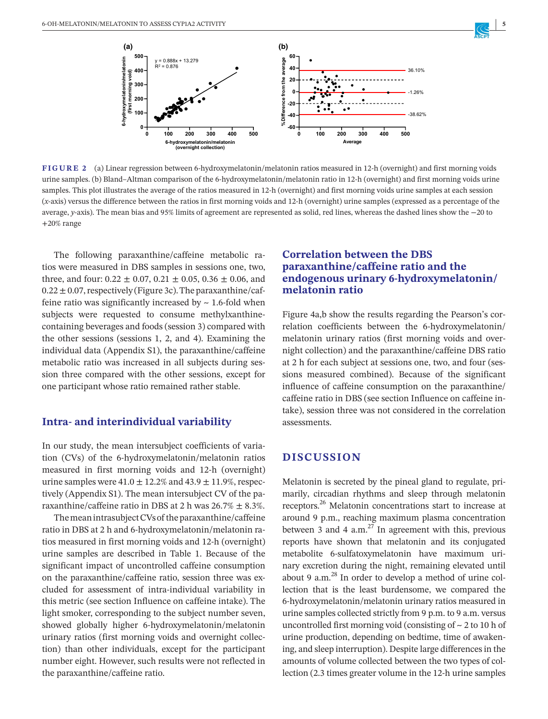

**FIGURE 2** (a) Linear regression between 6-hydroxymelatonin/melatonin ratios measured in 12-h (overnight) and first morning voids urine samples. (b) Bland–Altman comparison of the 6-hydroxymelatonin/melatonin ratio in 12-h (overnight) and first morning voids urine samples. This plot illustrates the average of the ratios measured in 12-h (overnight) and first morning voids urine samples at each session (*x*-axis) versus the difference between the ratios in first morning voids and 12-h (overnight) urine samples (expressed as a percentage of the average, *y*-axis). The mean bias and 95% limits of agreement are represented as solid, red lines, whereas the dashed lines show the −20 to +20% range

The following paraxanthine/caffeine metabolic ratios were measured in DBS samples in sessions one, two, three, and four:  $0.22 \pm 0.07$ ,  $0.21 \pm 0.05$ ,  $0.36 \pm 0.06$ , and  $0.22 \pm 0.07$ , respectively (Figure 3c). The paraxanthine/caffeine ratio was significantly increased by  $\sim$  1.6-fold when subjects were requested to consume methylxanthinecontaining beverages and foods (session 3) compared with the other sessions (sessions 1, 2, and 4). Examining the individual data (Appendix S1), the paraxanthine/caffeine metabolic ratio was increased in all subjects during session three compared with the other sessions, except for one participant whose ratio remained rather stable.

### **Intra- and interindividual variability**

In our study, the mean intersubject coefficients of variation (CVs) of the 6-hydroxymelatonin/melatonin ratios measured in first morning voids and 12-h (overnight) urine samples were  $41.0 \pm 12.2\%$  and  $43.9 \pm 11.9\%$ , respectively (Appendix S1). The mean intersubject CV of the paraxanthine/caffeine ratio in DBS at 2 h was  $26.7\% \pm 8.3\%$ .

The mean intrasubject CVs of the paraxanthine/caffeine ratio in DBS at 2 h and 6-hydroxymelatonin/melatonin ratios measured in first morning voids and 12-h (overnight) urine samples are described in Table 1. Because of the significant impact of uncontrolled caffeine consumption on the paraxanthine/caffeine ratio, session three was excluded for assessment of intra-individual variability in this metric (see section Influence on caffeine intake). The light smoker, corresponding to the subject number seven, showed globally higher 6-hydroxymelatonin/melatonin urinary ratios (first morning voids and overnight collection) than other individuals, except for the participant number eight. However, such results were not reflected in the paraxanthine/caffeine ratio.

# **Correlation between the DBS paraxanthine/caffeine ratio and the endogenous urinary 6-hydroxymelatonin/ melatonin ratio**

Figure 4a,b show the results regarding the Pearson's correlation coefficients between the 6-hydroxymelatonin/ melatonin urinary ratios (first morning voids and overnight collection) and the paraxanthine/caffeine DBS ratio at 2 h for each subject at sessions one, two, and four (sessions measured combined). Because of the significant influence of caffeine consumption on the paraxanthine/ caffeine ratio in DBS (see section Influence on caffeine intake), session three was not considered in the correlation assessments.

# **DISCUSSION**

Melatonin is secreted by the pineal gland to regulate, primarily, circadian rhythms and sleep through melatonin receptors.26 Melatonin concentrations start to increase at around 9 p.m., reaching maximum plasma concentration between 3 and 4  $a.m.<sup>27</sup>$  In agreement with this, previous reports have shown that melatonin and its conjugated metabolite 6-sulfatoxymelatonin have maximum urinary excretion during the night, remaining elevated until about 9 a.m.<sup>28</sup> In order to develop a method of urine collection that is the least burdensome, we compared the 6-hydroxymelatonin/melatonin urinary ratios measured in urine samples collected strictly from 9 p.m. to 9 a.m. versus uncontrolled first morning void (consisting of  $\sim$  2 to 10 h of urine production, depending on bedtime, time of awakening, and sleep interruption). Despite large differences in the amounts of volume collected between the two types of collection (2.3 times greater volume in the 12-h urine samples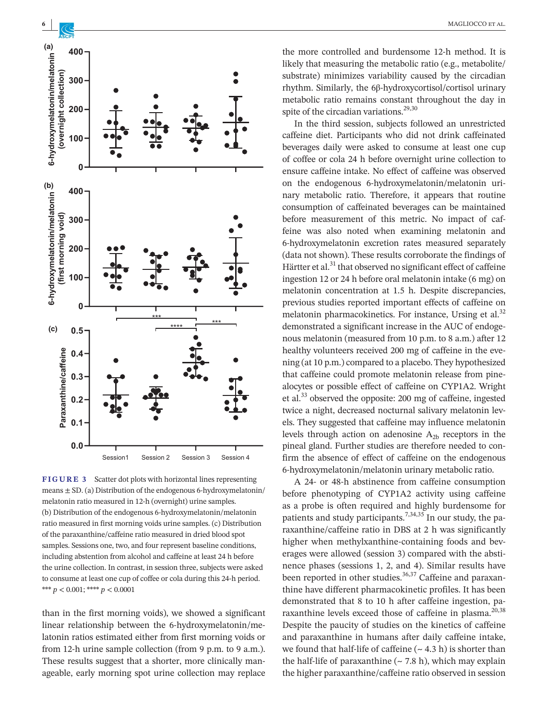

**FIGURE 3** Scatter dot plots with horizontal lines representing means  $\pm$  SD. (a) Distribution of the endogenous 6-hydroxymelatonin/ melatonin ratio measured in 12-h (overnight) urine samples. (b) Distribution of the endogenous 6-hydroxymelatonin/melatonin ratio measured in first morning voids urine samples. (c) Distribution of the paraxanthine/caffeine ratio measured in dried blood spot samples. Sessions one, two, and four represent baseline conditions, including abstention from alcohol and caffeine at least 24 h before the urine collection. In contrast, in session three, subjects were asked to consume at least one cup of coffee or cola during this 24-h period. \*\*\* *p* < 0.001; \*\*\*\* *p* < 0.0001

than in the first morning voids), we showed a significant linear relationship between the 6-hydroxymelatonin/melatonin ratios estimated either from first morning voids or from 12-h urine sample collection (from 9 p.m. to 9 a.m.). These results suggest that a shorter, more clinically manageable, early morning spot urine collection may replace

the more controlled and burdensome 12-h method. It is likely that measuring the metabolic ratio (e.g., metabolite/ substrate) minimizes variability caused by the circadian rhythm. Similarly, the 6β-hydroxycortisol/cortisol urinary metabolic ratio remains constant throughout the day in spite of the circadian variations.<sup>29,30</sup>

In the third session, subjects followed an unrestricted caffeine diet. Participants who did not drink caffeinated beverages daily were asked to consume at least one cup of coffee or cola 24 h before overnight urine collection to ensure caffeine intake. No effect of caffeine was observed on the endogenous 6-hydroxymelatonin/melatonin urinary metabolic ratio. Therefore, it appears that routine consumption of caffeinated beverages can be maintained before measurement of this metric. No impact of caffeine was also noted when examining melatonin and 6-hydroxymelatonin excretion rates measured separately (data not shown). These results corroborate the findings of Härtter et al.<sup>31</sup> that observed no significant effect of caffeine ingestion 12 or 24 h before oral melatonin intake (6 mg) on melatonin concentration at 1.5 h. Despite discrepancies, previous studies reported important effects of caffeine on melatonin pharmacokinetics. For instance, Ursing et al.<sup>32</sup> demonstrated a significant increase in the AUC of endogenous melatonin (measured from 10 p.m. to 8 a.m.) after 12 healthy volunteers received 200 mg of caffeine in the evening (at 10 p.m.) compared to a placebo. They hypothesized that caffeine could promote melatonin release from pinealocytes or possible effect of caffeine on CYP1A2. Wright et al.33 observed the opposite: 200 mg of caffeine, ingested twice a night, decreased nocturnal salivary melatonin levels. They suggested that caffeine may influence melatonin levels through action on adenosine  $A_{2b}$  receptors in the pineal gland. Further studies are therefore needed to confirm the absence of effect of caffeine on the endogenous 6-hydroxymelatonin/melatonin urinary metabolic ratio.

A 24- or 48-h abstinence from caffeine consumption before phenotyping of CYP1A2 activity using caffeine as a probe is often required and highly burdensome for patients and study participants.<sup>7,34,35</sup> In our study, the paraxanthine/caffeine ratio in DBS at 2 h was significantly higher when methylxanthine-containing foods and beverages were allowed (session 3) compared with the abstinence phases (sessions 1, 2, and 4). Similar results have been reported in other studies.<sup>36,37</sup> Caffeine and paraxanthine have different pharmacokinetic profiles. It has been demonstrated that 8 to 10 h after caffeine ingestion, paraxanthine levels exceed those of caffeine in plasma.<sup>20,38</sup> Despite the paucity of studies on the kinetics of caffeine and paraxanthine in humans after daily caffeine intake, we found that half-life of caffeine  $($   $\sim$  4.3 h) is shorter than the half-life of paraxanthine  $({\sim} 7.8 \text{ h})$ , which may explain the higher paraxanthine/caffeine ratio observed in session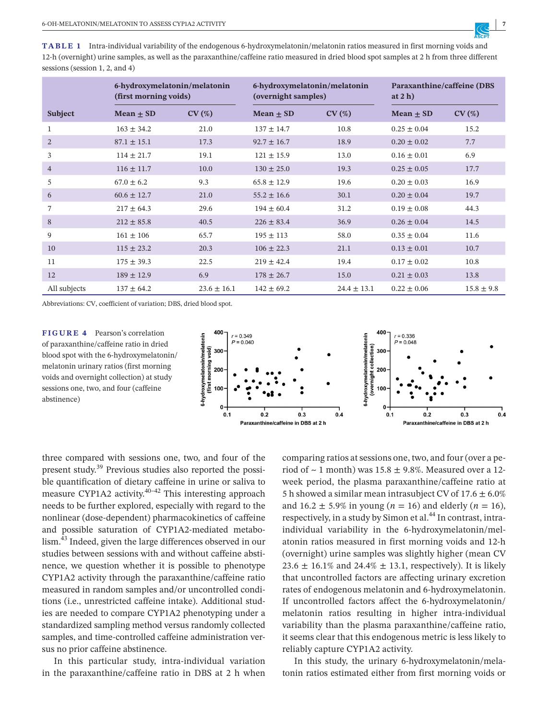**TABLE 1** Intra-individual variability of the endogenous 6-hydroxymelatonin/melatonin ratios measured in first morning voids and 12-h (overnight) urine samples, as well as the paraxanthine/caffeine ratio measured in dried blood spot samples at 2 h from three different sessions (session 1, 2, and 4)

|                | 6-hydroxymelatonin/melatonin<br>(first morning voids) |                 | 6-hydroxymelatonin/melatonin<br>(overnight samples) |                 | Paraxanthine/caffeine (DBS)<br>at $2h$ ) |                |
|----------------|-------------------------------------------------------|-----------------|-----------------------------------------------------|-----------------|------------------------------------------|----------------|
| <b>Subject</b> | Mean $\pm$ SD                                         | CV(%)           | Mean $\pm$ SD                                       | CV(%)           | Mean $\pm$ SD                            | CV(%)          |
| 1              | $163 \pm 34.2$                                        | 21.0            | $137 \pm 14.7$                                      | 10.8            | $0.25 \pm 0.04$                          | 15.2           |
| $\overline{2}$ | $87.1 \pm 15.1$                                       | 17.3            | $92.7 \pm 16.7$                                     | 18.9            | $0.20 \pm 0.02$                          | 7.7            |
| 3              | $114 \pm 21.7$                                        | 19.1            | $121 \pm 15.9$                                      | 13.0            | $0.16 \pm 0.01$                          | 6.9            |
| $\overline{4}$ | $116 \pm 11.7$                                        | 10.0            | $130 \pm 25.0$                                      | 19.3            | $0.25 \pm 0.05$                          | 17.7           |
| 5              | $67.0 \pm 6.2$                                        | 9.3             | $65.8 \pm 12.9$                                     | 19.6            | $0.20 \pm 0.03$                          | 16.9           |
| 6              | $60.6 \pm 12.7$                                       | 21.0            | $55.2 \pm 16.6$                                     | 30.1            | $0.20 \pm 0.04$                          | 19.7           |
| 7              | $217 \pm 64.3$                                        | 29.6            | $194 \pm 60.4$                                      | 31.2            | $0.19 \pm 0.08$                          | 44.3           |
| 8              | $212 \pm 85.8$                                        | 40.5            | $226 \pm 83.4$                                      | 36.9            | $0.26 \pm 0.04$                          | 14.5           |
| 9              | $161 \pm 106$                                         | 65.7            | $195 \pm 113$                                       | 58.0            | $0.35 \pm 0.04$                          | 11.6           |
| 10             | $115 \pm 23.2$                                        | 20.3            | $106 \pm 22.3$                                      | 21.1            | $0.13 \pm 0.01$                          | 10.7           |
| 11             | $175 \pm 39.3$                                        | 22.5            | $219 \pm 42.4$                                      | 19.4            | $0.17 \pm 0.02$                          | 10.8           |
| 12             | $189 \pm 12.9$                                        | 6.9             | $178 \pm 26.7$                                      | 15.0            | $0.21 \pm 0.03$                          | 13.8           |
| All subjects   | $137 \pm 64.2$                                        | $23.6 \pm 16.1$ | $142 \pm 69.2$                                      | $24.4 \pm 13.1$ | $0.22 \pm 0.06$                          | $15.8 \pm 9.8$ |

Abbreviations: CV, coefficient of variation; DBS, dried blood spot.

**FIGURE 4** Pearson's correlation of paraxanthine/caffeine ratio in dried blood spot with the 6-hydroxymelatonin/ melatonin urinary ratios (first morning voids and overnight collection) at study sessions one, two, and four (caffeine abstinence)



three compared with sessions one, two, and four of the present study.<sup>39</sup> Previous studies also reported the possible quantification of dietary caffeine in urine or saliva to measure CYP1A2 activity.<sup>40-42</sup> This interesting approach needs to be further explored, especially with regard to the nonlinear (dose-dependent) pharmacokinetics of caffeine and possible saturation of CYP1A2-mediated metabolism.43 Indeed, given the large differences observed in our studies between sessions with and without caffeine abstinence, we question whether it is possible to phenotype CYP1A2 activity through the paraxanthine/caffeine ratio measured in random samples and/or uncontrolled conditions (i.e., unrestricted caffeine intake). Additional studies are needed to compare CYP1A2 phenotyping under a standardized sampling method versus randomly collected samples, and time-controlled caffeine administration versus no prior caffeine abstinence.

In this particular study, intra-individual variation in the paraxanthine/caffeine ratio in DBS at 2 h when

comparing ratios at sessions one, two, and four (over a period of  $\sim$  1 month) was 15.8  $\pm$  9.8%. Measured over a 12week period, the plasma paraxanthine/caffeine ratio at 5 h showed a similar mean intrasubject CV of  $17.6 \pm 6.0\%$ and  $16.2 \pm 5.9\%$  in young (*n* = 16) and elderly (*n* = 16), respectively, in a study by Simon et al.<sup>44</sup> In contrast, intraindividual variability in the 6-hydroxymelatonin/melatonin ratios measured in first morning voids and 12-h (overnight) urine samples was slightly higher (mean CV 23.6  $\pm$  16.1% and 24.4%  $\pm$  13.1, respectively). It is likely that uncontrolled factors are affecting urinary excretion rates of endogenous melatonin and 6-hydroxymelatonin. If uncontrolled factors affect the 6-hydroxymelatonin/ melatonin ratios resulting in higher intra-individual variability than the plasma paraxanthine/caffeine ratio, it seems clear that this endogenous metric is less likely to reliably capture CYP1A2 activity.

In this study, the urinary 6-hydroxymelatonin/melatonin ratios estimated either from first morning voids or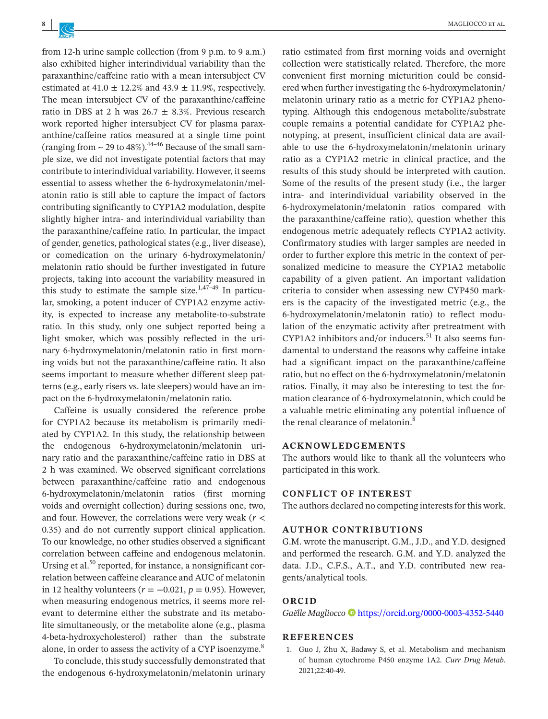from 12-h urine sample collection (from 9 p.m. to 9 a.m.) also exhibited higher interindividual variability than the paraxanthine/caffeine ratio with a mean intersubject CV estimated at 41.0  $\pm$  12.2% and 43.9  $\pm$  11.9%, respectively. The mean intersubject CV of the paraxanthine/caffeine ratio in DBS at 2 h was  $26.7 \pm 8.3\%$ . Previous research work reported higher intersubject CV for plasma paraxanthine/caffeine ratios measured at a single time point (ranging from  $\sim$  29 to 48%).<sup>44–46</sup> Because of the small sample size, we did not investigate potential factors that may contribute to interindividual variability. However, it seems essential to assess whether the 6-hydroxymelatonin/melatonin ratio is still able to capture the impact of factors contributing significantly to CYP1A2 modulation, despite slightly higher intra- and interindividual variability than the paraxanthine/caffeine ratio. In particular, the impact of gender, genetics, pathological states (e.g., liver disease), or comedication on the urinary 6-hydroxymelatonin/ melatonin ratio should be further investigated in future projects, taking into account the variability measured in this study to estimate the sample size.<sup>1,47-49</sup> In particular, smoking, a potent inducer of CYP1A2 enzyme activity, is expected to increase any metabolite-to-substrate ratio. In this study, only one subject reported being a light smoker, which was possibly reflected in the urinary 6-hydroxymelatonin/melatonin ratio in first morning voids but not the paraxanthine/caffeine ratio. It also seems important to measure whether different sleep patterns (e.g., early risers vs. late sleepers) would have an impact on the 6-hydroxymelatonin/melatonin ratio.

Caffeine is usually considered the reference probe for CYP1A2 because its metabolism is primarily mediated by CYP1A2. In this study, the relationship between the endogenous 6-hydroxymelatonin/melatonin urinary ratio and the paraxanthine/caffeine ratio in DBS at 2 h was examined. We observed significant correlations between paraxanthine/caffeine ratio and endogenous 6-hydroxymelatonin/melatonin ratios (first morning voids and overnight collection) during sessions one, two, and four. However, the correlations were very weak (*r* < 0.35) and do not currently support clinical application. To our knowledge, no other studies observed a significant correlation between caffeine and endogenous melatonin. Ursing et al.<sup>50</sup> reported, for instance, a nonsignificant correlation between caffeine clearance and AUC of melatonin in 12 healthy volunteers ( $r = -0.021$ ,  $p = 0.95$ ). However, when measuring endogenous metrics, it seems more relevant to determine either the substrate and its metabolite simultaneously, or the metabolite alone (e.g., plasma 4-beta-hydroxycholesterol) rather than the substrate alone, in order to assess the activity of a CYP isoenzyme.<sup>8</sup>

To conclude, this study successfully demonstrated that the endogenous 6-hydroxymelatonin/melatonin urinary

ratio estimated from first morning voids and overnight collection were statistically related. Therefore, the more convenient first morning micturition could be considered when further investigating the 6-hydroxymelatonin/ melatonin urinary ratio as a metric for CYP1A2 phenotyping. Although this endogenous metabolite/substrate couple remains a potential candidate for CYP1A2 phenotyping, at present, insufficient clinical data are available to use the 6-hydroxymelatonin/melatonin urinary ratio as a CYP1A2 metric in clinical practice, and the results of this study should be interpreted with caution. Some of the results of the present study (i.e., the larger intra- and interindividual variability observed in the 6-hydroxymelatonin/melatonin ratios compared with the paraxanthine/caffeine ratio), question whether this endogenous metric adequately reflects CYP1A2 activity. Confirmatory studies with larger samples are needed in order to further explore this metric in the context of personalized medicine to measure the CYP1A2 metabolic capability of a given patient. An important validation criteria to consider when assessing new CYP450 markers is the capacity of the investigated metric (e.g., the 6-hydroxymelatonin/melatonin ratio) to reflect modulation of the enzymatic activity after pretreatment with CYP1A2 inhibitors and/or inducers. $51$  It also seems fundamental to understand the reasons why caffeine intake had a significant impact on the paraxanthine/caffeine ratio, but no effect on the 6-hydroxymelatonin/melatonin ratios. Finally, it may also be interesting to test the formation clearance of 6-hydroxymelatonin, which could be a valuable metric eliminating any potential influence of the renal clearance of melatonin.<sup>8</sup>

#### **ACKNOWLEDGEMENTS**

The authors would like to thank all the volunteers who participated in this work.

#### **CONFLICT OF INTEREST**

The authors declared no competing interests for this work.

#### **AUTHOR CONTRIBUTIONS**

G.M. wrote the manuscript. G.M., J.D., and Y.D. designed and performed the research. G.M. and Y.D. analyzed the data. J.D., C.F.S., A.T., and Y.D. contributed new reagents/analytical tools.

#### **ORCID**

*Gaëlle Magliocco* <https://orcid.org/0000-0003-4352-5440>

#### **REFERENCES**

1. Guo J, Zhu X, Badawy S, et al. Metabolism and mechanism of human cytochrome P450 enzyme 1A2. *Curr Drug Metab*. 2021;22:40-49.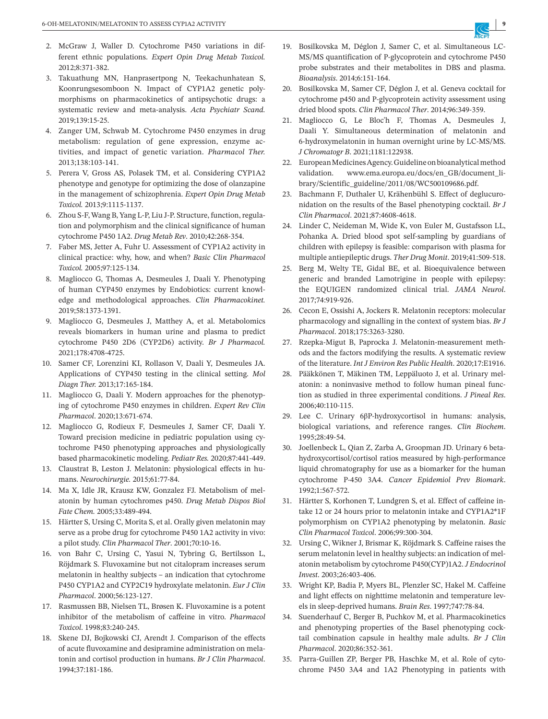- 2. McGraw J, Waller D. Cytochrome P450 variations in different ethnic populations. *Expert Opin Drug Metab Toxicol.* 2012;8:371-382.
- 3. Takuathung MN, Hanprasertpong N, Teekachunhatean S, Koonrungsesomboon N. Impact of CYP1A2 genetic polymorphisms on pharmacokinetics of antipsychotic drugs: a systematic review and meta-analysis. *Acta Psychiatr Scand.* 2019;139:15-25.
- 4. Zanger UM, Schwab M. Cytochrome P450 enzymes in drug metabolism: regulation of gene expression, enzyme activities, and impact of genetic variation. *Pharmacol Ther.* 2013;138:103-141.
- 5. Perera V, Gross AS, Polasek TM, et al. Considering CYP1A2 phenotype and genotype for optimizing the dose of olanzapine in the management of schizophrenia. *Expert Opin Drug Metab Toxicol.* 2013;9:1115-1137.
- 6. Zhou S-F, Wang B, Yang L-P, Liu J-P. Structure, function, regulation and polymorphism and the clinical significance of human cytochrome P450 1A2. *Drug Metab Rev*. 2010;42:268-354.
- 7. Faber MS, Jetter A, Fuhr U. Assessment of CYP1A2 activity in clinical practice: why, how, and when? *Basic Clin Pharmacol Toxicol.* 2005;97:125-134.
- 8. Magliocco G, Thomas A, Desmeules J, Daali Y. Phenotyping of human CYP450 enzymes by Endobiotics: current knowledge and methodological approaches. *Clin Pharmacokinet.* 2019;58:1373-1391.
- 9. Magliocco G, Desmeules J, Matthey A, et al. Metabolomics reveals biomarkers in human urine and plasma to predict cytochrome P450 2D6 (CYP2D6) activity. *Br J Pharmacol.* 2021;178:4708-4725.
- 10. Samer CF, Lorenzini KI, Rollason V, Daali Y, Desmeules JA. Applications of CYP450 testing in the clinical setting. *Mol Diagn Ther.* 2013;17:165-184.
- 11. Magliocco G, Daali Y. Modern approaches for the phenotyping of cytochrome P450 enzymes in children. *Expert Rev Clin Pharmacol*. 2020;13:671-674.
- 12. Magliocco G, Rodieux F, Desmeules J, Samer CF, Daali Y. Toward precision medicine in pediatric population using cytochrome P450 phenotyping approaches and physiologically based pharmacokinetic modeling. *Pediatr Res.* 2020;87:441-449.
- 13. Claustrat B, Leston J. Melatonin: physiological effects in humans. *Neurochirurgie.* 2015;61:77-84.
- 14. Ma X, Idle JR, Krausz KW, Gonzalez FJ. Metabolism of melatonin by human cytochromes p450. *Drug Metab Dispos Biol Fate Chem.* 2005;33:489-494.
- 15. Härtter S, Ursing C, Morita S, et al. Orally given melatonin may serve as a probe drug for cytochrome P450 1A2 activity in vivo: a pilot study. *Clin Pharmacol Ther*. 2001;70:10-16.
- 16. von Bahr C, Ursing C, Yasui N, Tybring G, Bertilsson L, Röjdmark S. Fluvoxamine but not citalopram increases serum melatonin in healthy subjects – an indication that cytochrome P450 CYP1A2 and CYP2C19 hydroxylate melatonin. *Eur J Clin Pharmacol*. 2000;56:123-127.
- 17. Rasmussen BB, Nielsen TL, Brøsen K. Fluvoxamine is a potent inhibitor of the metabolism of caffeine in vitro. *Pharmacol Toxicol*. 1998;83:240-245.
- 18. Skene DJ, Bojkowski CJ, Arendt J. Comparison of the effects of acute fluvoxamine and desipramine administration on melatonin and cortisol production in humans. *Br J Clin Pharmacol*. 1994;37:181-186.
- 19. Bosilkovska M, Déglon J, Samer C, et al. Simultaneous LC-MS/MS quantification of P-glycoprotein and cytochrome P450 probe substrates and their metabolites in DBS and plasma. *Bioanalysis*. 2014;6:151-164.
- 20. Bosilkovska M, Samer CF, Déglon J, et al. Geneva cocktail for cytochrome p450 and P-glycoprotein activity assessment using dried blood spots. *Clin Pharmacol Ther*. 2014;96:349-359.
- 21. Magliocco G, Le Bloc'h F, Thomas A, Desmeules J, Daali Y. Simultaneous determination of melatonin and 6-hydroxymelatonin in human overnight urine by LC-MS/MS. *J Chromatogr B*. 2021;1181:122938.
- 22. European Medicines Agency. Guideline on bioanalytical method validation. [www.ema.europa.eu/docs/en\\_GB/](http://www.ema.europa.eu/docs/en_GB/)document\_library/Scientific\_guideline/2011/08/WC500109686.pdf.
- 23. Bachmann F, Duthaler U, Krähenbühl S. Effect of deglucuronidation on the results of the Basel phenotyping cocktail. *Br J Clin Pharmacol*. 2021;87:4608-4618.
- 24. Linder C, Neideman M, Wide K, von Euler M, Gustafsson LL, Pohanka A. Dried blood spot self-sampling by guardians of children with epilepsy is feasible: comparison with plasma for multiple antiepileptic drugs. *Ther Drug Monit*. 2019;41:509-518.
- 25. Berg M, Welty TE, Gidal BE, et al. Bioequivalence between generic and branded Lamotrigine in people with epilepsy: the EQUIGEN randomized clinical trial. *JAMA Neurol*. 2017;74:919-926.
- 26. Cecon E, Ossishi A, Jockers R. Melatonin receptors: molecular pharmacology and signalling in the context of system bias. *Br J Pharmacol*. 2018;175:3263-3280.
- 27. Rzepka-Migut B, Paprocka J. Melatonin-measurement methods and the factors modifying the results. A systematic review of the literature. *Int J Environ Res Public Health*. 2020;17:E1916.
- 28. Pääkkönen T, Mäkinen TM, Leppäluoto J, et al. Urinary melatonin: a noninvasive method to follow human pineal function as studied in three experimental conditions. *J Pineal Res*. 2006;40:110-115.
- 29. Lee C. Urinary 6βP-hydroxycortisol in humans: analysis, biological variations, and reference ranges. *Clin Biochem*. 1995;28:49-54.
- 30. Joellenbeck L, Qian Z, Zarba A, Groopman JD. Urinary 6 betahydroxycortisol/cortisol ratios measured by high-performance liquid chromatography for use as a biomarker for the human cytochrome P-450 3A4. *Cancer Epidemiol Prev Biomark*. 1992;1:567-572.
- 31. Härtter S, Korhonen T, Lundgren S, et al. Effect of caffeine intake 12 or 24 hours prior to melatonin intake and CYP1A2\*1F polymorphism on CYP1A2 phenotyping by melatonin. *Basic Clin Pharmacol Toxicol*. 2006;99:300-304.
- 32. Ursing C, Wikner J, Brismar K, Röjdmark S. Caffeine raises the serum melatonin level in healthy subjects: an indication of melatonin metabolism by cytochrome P450(CYP)1A2. *J Endocrinol Invest*. 2003;26:403-406.
- 33. Wright KP, Badia P, Myers BL, Plenzler SC, Hakel M. Caffeine and light effects on nighttime melatonin and temperature levels in sleep-deprived humans. *Brain Res*. 1997;747:78-84.
- 34. Suenderhauf C, Berger B, Puchkov M, et al. Pharmacokinetics and phenotyping properties of the Basel phenotyping cocktail combination capsule in healthy male adults. *Br J Clin Pharmacol*. 2020;86:352-361.
- 35. Parra-Guillen ZP, Berger PB, Haschke M, et al. Role of cytochrome P450 3A4 and 1A2 Phenotyping in patients with